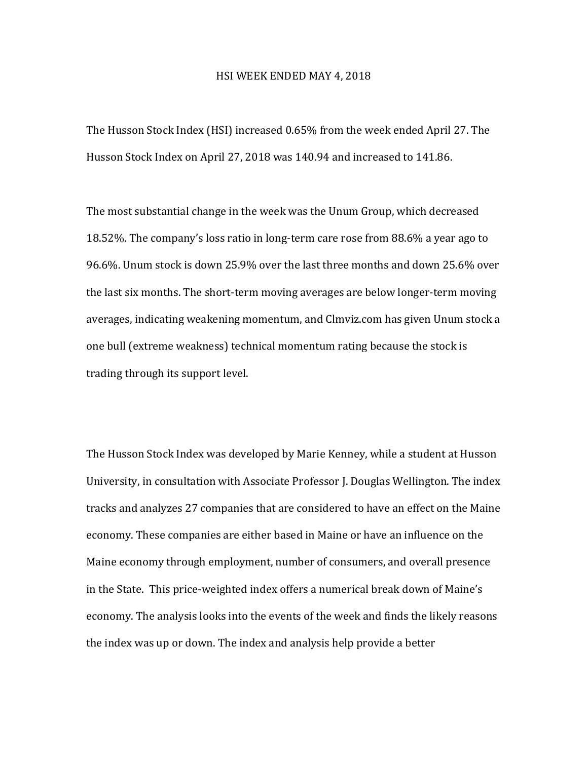## HSI WEEK ENDED MAY 4, 2018

The Husson Stock Index (HSI) increased 0.65% from the week ended April 27. The Husson Stock Index on April 27, 2018 was 140.94 and increased to 141.86.

The most substantial change in the week was the Unum Group, which decreased 18.52%. The company's loss ratio in long-term care rose from 88.6% a year ago to 96.6%. Unum stock is down 25.9% over the last three months and down 25.6% over the last six months. The short-term moving averages are below longer-term moving averages, indicating weakening momentum, and Clmviz.com has given Unum stock a one bull (extreme weakness) technical momentum rating because the stock is trading through its support level.

The Husson Stock Index was developed by Marie Kenney, while a student at Husson University, in consultation with Associate Professor J. Douglas Wellington. The index tracks and analyzes 27 companies that are considered to have an effect on the Maine economy. These companies are either based in Maine or have an influence on the Maine economy through employment, number of consumers, and overall presence in the State. This price-weighted index offers a numerical break down of Maine's economy. The analysis looks into the events of the week and finds the likely reasons the index was up or down. The index and analysis help provide a better